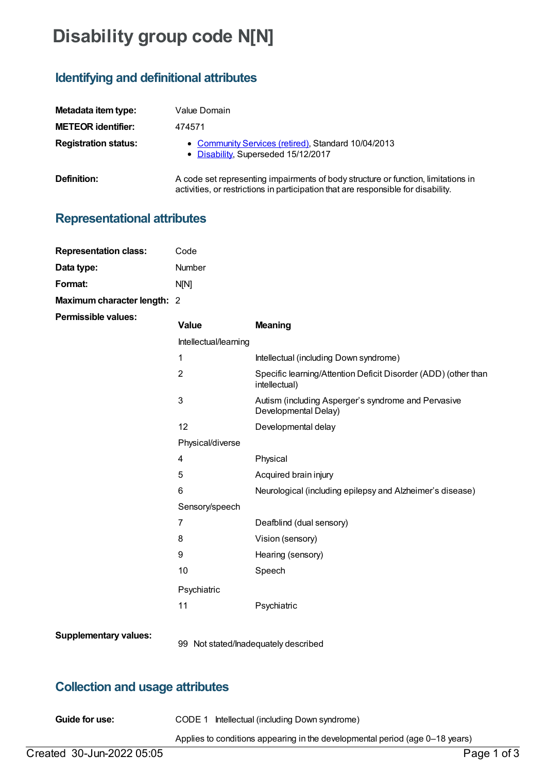# **Disability group code N[N]**

## **Identifying and definitional attributes**

| Metadata item type:         | Value Domain                                                                                                                                                           |  |  |
|-----------------------------|------------------------------------------------------------------------------------------------------------------------------------------------------------------------|--|--|
| <b>METEOR identifier:</b>   | 474571                                                                                                                                                                 |  |  |
| <b>Registration status:</b> | • Community Services (retired), Standard 10/04/2013<br>• Disability, Superseded 15/12/2017                                                                             |  |  |
| Definition:                 | A code set representing impairments of body structure or function, limitations in<br>activities, or restrictions in participation that are responsible for disability. |  |  |

#### **Representational attributes**

| <b>Representation class:</b> | Code                  |                                                                                 |
|------------------------------|-----------------------|---------------------------------------------------------------------------------|
| Data type:                   | Number                |                                                                                 |
| Format:                      | N[N]                  |                                                                                 |
| Maximum character length: 2  |                       |                                                                                 |
| <b>Permissible values:</b>   | <b>Value</b>          | <b>Meaning</b>                                                                  |
|                              | Intellectual/learning |                                                                                 |
|                              | 1                     | Intellectual (including Down syndrome)                                          |
|                              | $\overline{2}$        | Specific learning/Attention Deficit Disorder (ADD) (other than<br>intellectual) |
|                              | 3                     | Autism (including Asperger's syndrome and Pervasive<br>Developmental Delay)     |
|                              | 12                    | Developmental delay                                                             |
|                              | Physical/diverse      |                                                                                 |
|                              | 4                     | Physical                                                                        |
|                              | 5                     | Acquired brain injury                                                           |
|                              | 6                     | Neurological (including epilepsy and Alzheimer's disease)                       |
|                              | Sensory/speech        |                                                                                 |
|                              | $\overline{7}$        | Deafblind (dual sensory)                                                        |
|                              | 8                     | Vision (sensory)                                                                |
|                              | 9                     | Hearing (sensory)                                                               |
|                              | 10                    | Speech                                                                          |
|                              | Psychiatric           |                                                                                 |
|                              | 11                    | Psychiatric                                                                     |
| <b>Supplementary values:</b> |                       |                                                                                 |

#### 99 Not stated/Inadequately described

### **Collection and usage attributes**

**Guide for use:** CODE 1 Intellectual (including Down syndrome)

Applies to conditions appearing in the developmental period (age 0–18 years)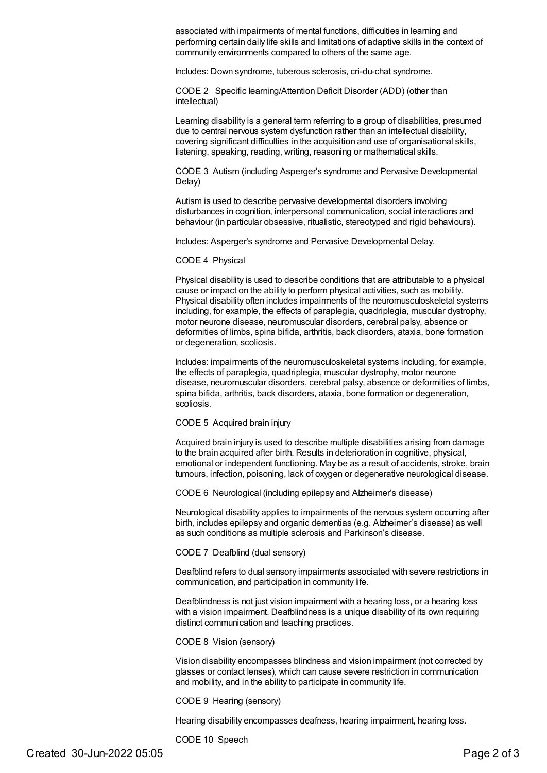associated with impairments of mental functions, difficulties in learning and performing certain daily life skills and limitations of adaptive skills in the context of community environments compared to others of the same age.

Includes: Down syndrome, tuberous sclerosis, cri-du-chat syndrome.

CODE 2 Specific learning/Attention Deficit Disorder (ADD) (other than intellectual)

Learning disability is a general term referring to a group of disabilities, presumed due to central nervous system dysfunction rather than an intellectual disability, covering significant difficulties in the acquisition and use of organisational skills, listening, speaking, reading, writing, reasoning or mathematical skills.

CODE 3 Autism (including Asperger's syndrome and Pervasive Developmental Delay)

Autism is used to describe pervasive developmental disorders involving disturbances in cognition, interpersonal communication, social interactions and behaviour (in particular obsessive, ritualistic, stereotyped and rigid behaviours).

Includes: Asperger's syndrome and Pervasive Developmental Delay.

#### CODE 4 Physical

Physical disability is used to describe conditions that are attributable to a physical cause or impact on the ability to perform physical activities, such as mobility. Physical disability often includes impairments of the neuromusculoskeletal systems including, for example, the effects of paraplegia, quadriplegia, muscular dystrophy, motor neurone disease, neuromuscular disorders, cerebral palsy, absence or deformities of limbs, spina bifida, arthritis, back disorders, ataxia, bone formation or degeneration, scoliosis.

Includes: impairments of the neuromusculoskeletal systems including, for example, the effects of paraplegia, quadriplegia, muscular dystrophy, motor neurone disease, neuromuscular disorders, cerebral palsy, absence or deformities of limbs, spina bifida, arthritis, back disorders, ataxia, bone formation or degeneration, scoliosis.

#### CODE 5 Acquired brain injury

Acquired brain injury is used to describe multiple disabilities arising from damage to the brain acquired after birth. Results in deterioration in cognitive, physical, emotional or independent functioning. May be as a result of accidents, stroke, brain tumours, infection, poisoning, lack of oxygen or degenerative neurological disease.

CODE 6 Neurological (including epilepsy and Alzheimer's disease)

Neurological disability applies to impairments of the nervous system occurring after birth, includes epilepsy and organic dementias (e.g. Alzheimer's disease) as well as such conditions as multiple sclerosis and Parkinson's disease.

CODE 7 Deafblind (dual sensory)

Deafblind refers to dual sensory impairments associated with severe restrictions in communication, and participation in community life.

Deafblindness is not just vision impairment with a hearing loss, or a hearing loss with a vision impairment. Deafblindness is a unique disability of its own requiring distinct communication and teaching practices.

CODE 8 Vision (sensory)

Vision disability encompasses blindness and vision impairment (not corrected by glasses or contact lenses), which can cause severe restriction in communication and mobility, and in the ability to participate in community life.

CODE 9 Hearing (sensory)

Hearing disability encompasses deafness, hearing impairment, hearing loss.

CODE 10 Speech